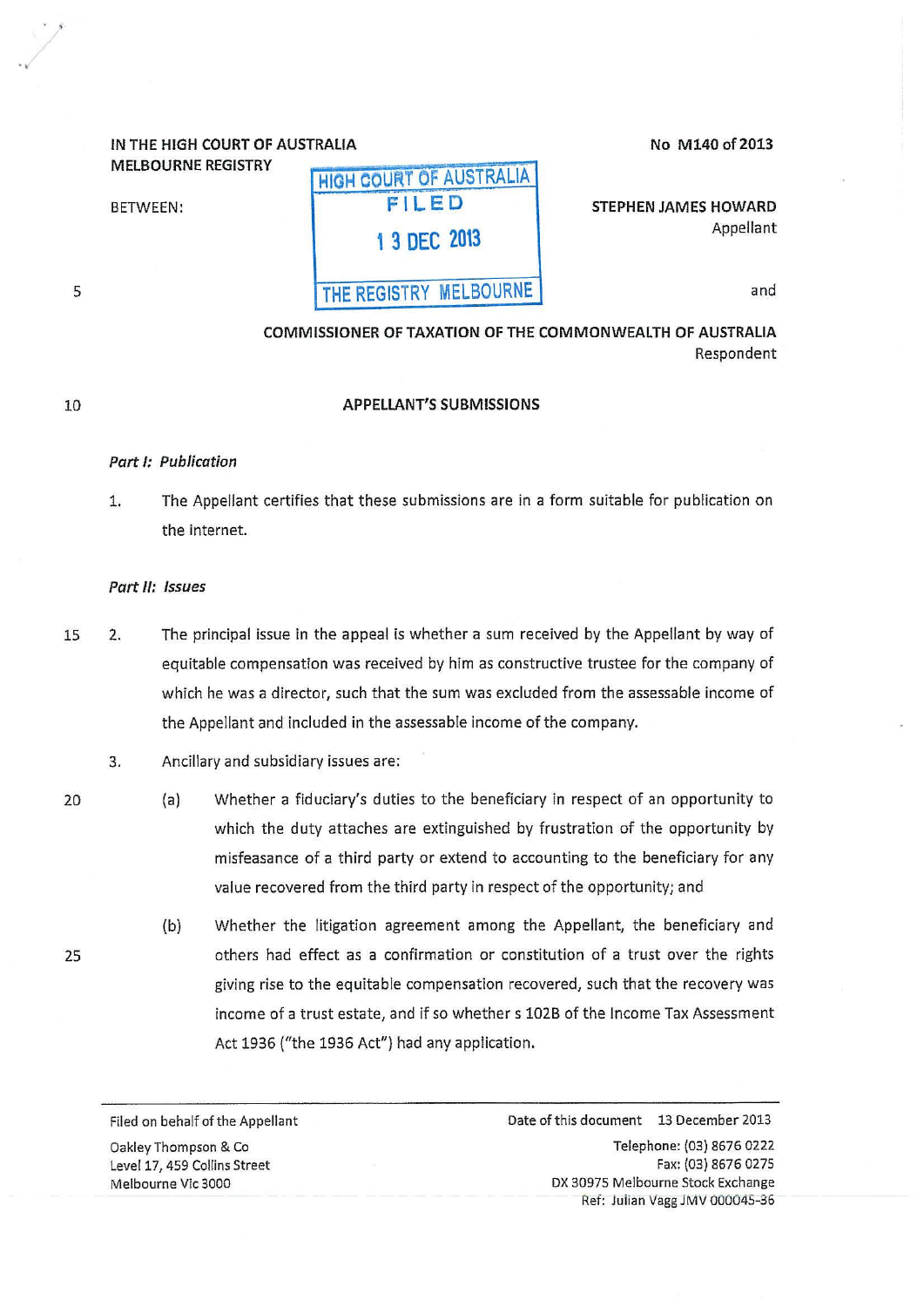# IN THE HIGH COURT OF AUSTRAliA

MELBOURNE REGISTRY

BETWEEN:

5

 $\cdot$  ).

..

#### No M140 of 2013

STEPHEN JAMES HOWARD Appellant

and

COMMISSIONER OF TAXATION OF THE COMMONWEALTH OF AUSTRALIA Respondent

# 10

# APPELLANT'S SUBMISSIONS

HIGH COURT OF AUSTRALIA FILED

1 3 DEC 2013

THE REGISTRY MELBOURNE

#### Part 1: Publication

1. The Appellant certifies that these submissions are in a form suitable for publication on the internet.

#### Part II: Issues

- 15 2. The principal issue in the appeal is whether a sum received by the Appellant by way of equitable compensation was received by him as constructive trustee for the company of which he was a director, such that the sum was excluded from the assessable income of the Appellant and included in the assessable income of the company.
	- 3. Ancillary and subsidiary issues are:
	- (a) Whether a fiduciary's duties to the beneficiary in respect of an opportunity to which the duty attaches are extinguished by frustration of the opportunity by misfeasance of a third party or extend to accounting to the beneficiary for any value recovered from the third party in respect of the opportunity; and
		- (b) Whether the litigation agreement among the Appellant, the beneficiary and others had effect as a confirmation or constitution of a trust over the rights giving rise to the equitable compensation recovered, such that the recovery was income of a trust estate, and if so whether s 1028 of the Income Tax Assessment Act 1936 ("the 1936 Act") had any application.

Filed on behalf of the Appellant Oakley Thompson & Co Level 17, 459 Collins Street Melbourne Vic 3000

Date of this document 13 December 2013 Telephone: (03) 8676 0222 Fax: (03) 8676 0275 DX 30975 Melbourne Stock Exchange Ref: Juiian Vagg JMV 000045-36

20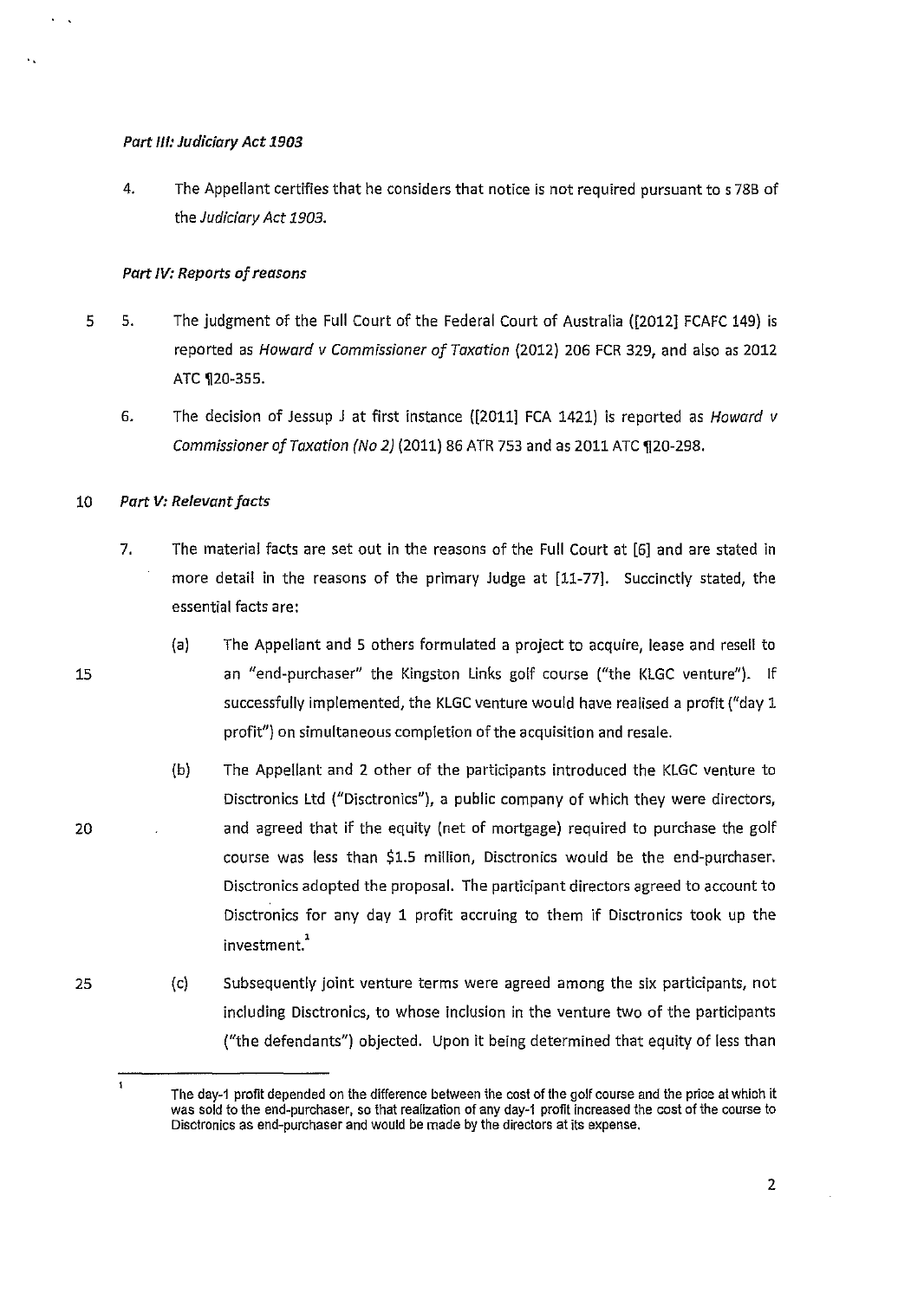# *Part Ill: Judiciary Act 1903*

4. The Appellant certifies that he considers that notice is not required pursuant to s 78B of the Judiciary *Act 1903.* 

# *Part IV: Reports of reasons*

- 5 5. The judgment of the Full Court of the Federal Court of Australia ([2012] FCAFC 149) is reported as Howard v Commissioner of Taxation (2012) 206 FCR 329, and also as 2012 ATC 120-355.
	- 6. The decision of Jessup J at first instance ([2011] FCA 1421) is reported as Howard v Commissioner of Taxation (No 2) (2011) 86 ATR 753 and as 2011 ATC ¶20-298.

#### 10 *Part V: Relevant facts*

- 7. The material facts are set out in the reasons of the Full Court at [6] and are stated in more detail in the reasons of the primary Judge at [11-77]. Succinctly stated, the essential facts are:
	- (a) The Appellant and 5 others formulated a project to acquire, lease and resell to an "end-purchaser" the Kingston Links golf course ("the KLGC venture"). If successfully implemented, the KLGC venture would have realised a profit ("day 1 profit") on simultaneous completion of the acquisition and resale.
	- (b) The Appellant and 2 other of the participants introduced the KLGC venture to Disctronics ltd ("Disctronics"), a public company of which they were directors, and agreed that if the equity (net of mortgage) required to purchase the golf course was less than \$1.5 million, Disctronics would be the end-purchaser. Disctronics adopted the proposal. The participant directors agreed to account to Disctronics for any day 1 profit accruing to them if Disctronics took up the investment.'
- 25 (c) Subsequently joint venture terms were agreed among the six participants, not including Disctronics, to whose inclusion in the venture two of the participants ("the defendants") objected. Upon it being determined that equity of less than

2

20

 $\mathbf{1}$ 

..

The day-1 profit depended on the difference between the cost of the golf course and the price at which it was sold to the end-purchaser, so that realization of any day-1 profit increased the cost of the course to Disctronics as end-purchaser and would be made by the directors at its expense.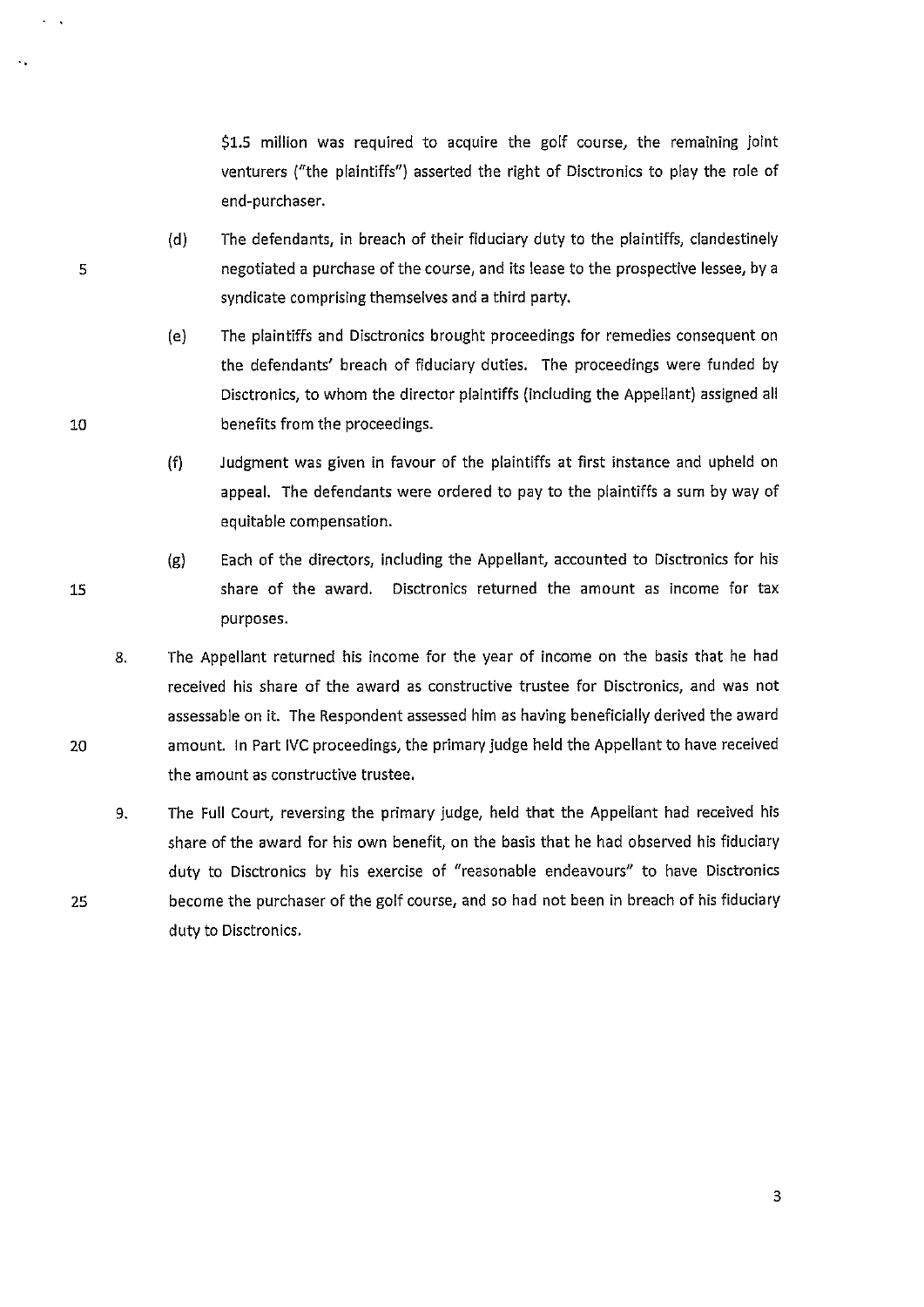\$1.5 million was required to acquire the golf course, the remaining joint venturers ("the plaintiffs") asserted the right of Disctronics to play the role of end-purchaser.

- (d) The defendants, in breach of their fiduciary duty to the plaintiffs, clandestinely negotiated a purchase of the course, and its lease to the prospective lessee, by a syndicate comprising themselves and a third party.
- (e) The plaintiffs and Disctronics brought proceedings for remedies consequent on the defendants' breach of fiduciary duties. The proceedings were funded by Disctronlcs, to whom the director plaintiffs (including the Appellant) assigned all benefits from the proceedings.
- (f) Judgment was given in favour of the plaintiffs at first instance and upheld on appeal. The defendants were ordered to pay to the plaintiffs a sum by way of equitable compensation.
- (g) Each of the directors, including the Appellant, accounted to Disctronics for his share of the award. Disctronics returned the amount as income for tax purposes.
- 8. The Appellant returned his income for the year of income on the basis that he had received his share of the award as constructive trustee for Disctronics, and was not assessable on it. The Respondent assessed him *as* having beneficially derived the award amount. In Part IVC proceedings, the primary judge held the Appellant to have received the amount as constructive trustee.
	- 9. The Full Court, reversing the primary judge, held that the Appellant had received his share of the award for his own benefit, on the basis that he had observed his fiduciary duty to Disctronics by his exercise of "reasonable endeavours" to have Disctronics become the purchaser of the golf course, and so had not been in breach of his fiduciary duty to Disctronics.

15

10

5

..

2D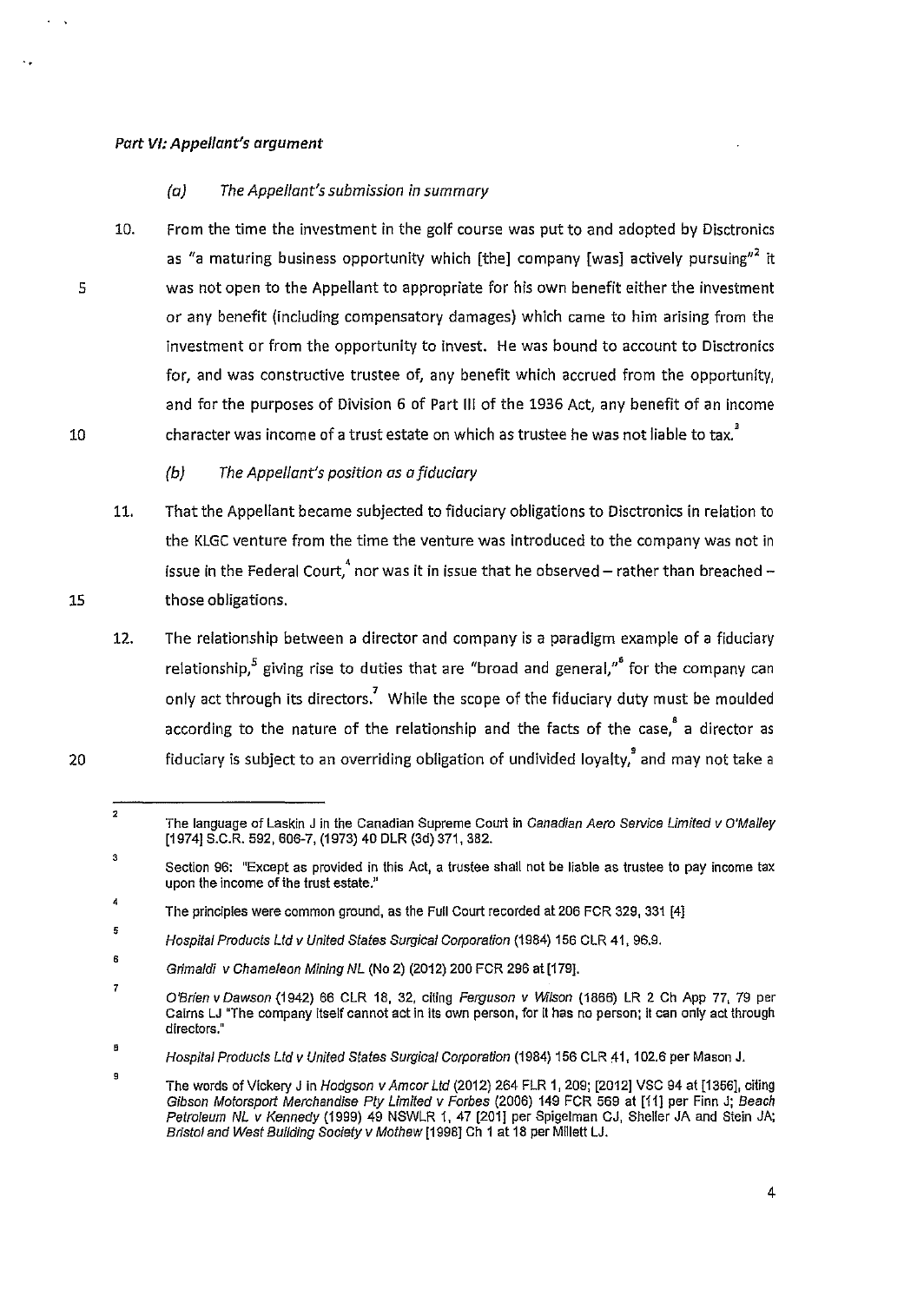#### *Part VI: Appellant's argument*

#### *(a) The Appellant's submission in summary*

- 10. From the time the investment in the golf course was put to and adopted by Disctronics as "a maturing business opportunity which [the] company [was] actively pursuing"<sup>2</sup> it was not open to the Appellant to appropriate for his own benefit either the investment or any benefit (including compensatory damages) which came to him arising from the investment or from the opportunity to invest. He was bound to account to Disctronics for, and was constructive trustee of, any benefit which accrued from the opportunity, and for the purposes of Division 6 of Part Ill of the 1936 Act, any benefit of an income character was income of a trust estate on which as trustee he was not liable to tax.<sup>3</sup>
	- *(b) The Appellant's position os o fiduciary*
- 11. That the Appellant became subjected to fiduciary obligations to Disctronics in relation to the KLGC venture from the time the venture was introduced to the company was not in issue in the Federal Court,  $^{\text{4}}$  nor was it in issue that he observed – rather than breached – those obligations.
- 12. The relationship between a director and company is a paradigm example of a fiduciary relationship,<sup>5</sup> giving rise to duties that are "broad and general," for the company can only act through its directors.<sup>7</sup> While the scope of the fiduciary duty must be moulded according to the nature of the relationship and the facts of the case, a director as fiduciary is subject to an overriding obligation of undivided loyalty,' and may not take a

4

10

15

20

5

..

<sup>2</sup>  The language of Laskin J in the Canadian Supreme Court in Canadian Aero Service Limited v O'Malley [1974] S.C.R. 592, 606-7, (1973) 40 DLR (3d) 371,382.

<sup>3</sup>  Section 96: "Except as provided in this Act, a trustee shall not be liable as trustee to pay income tax upon the income of the trust estate."

<sup>4</sup>  The principles were common ground, as the Full Court recorded at 206 FCR 329, 331 [4]

<sup>5</sup>  Hospital Products Ltd v United States Surgical Corporation (1984) 156 CLR 41, 96.9.

<sup>6</sup>  Grimaldi v Chameleon Mining NL (No 2) (2012) 200 FCR 296 at [179].

<sup>7</sup>  O'Brien v Dawson (1942) 66 CLR 18, 32, citing Ferguson v Wilson (1866) LR 2 Ch App 77, 79 per Cairns LJ "The company itself cannot act in its own person, for it has no person; if can only act through **directors."** 

B Hospital Products Ltd v United States Surgical Corporation (1984) 156 CLR 41, 102.6 per Mason J.

<sup>9</sup> The words of Vickery J in Hodgson v Am cor Ltd (2012) 264 FLR 1, 209; [2012] VSC 94 at [1356], citing Gibson Motorsport Merchandise Pty Limited v Forbes (2006) 149 FCR 569 at [11] per Finn J; Beach Petroleum NL v Kennedy (1999) 49 NSWLR 1, 47 [201] per Spigelman CJ, Sheller JA and Stein JA; Bristol and West Building Society v Mathew [1998] Ch 1 at 18 per Millett LJ.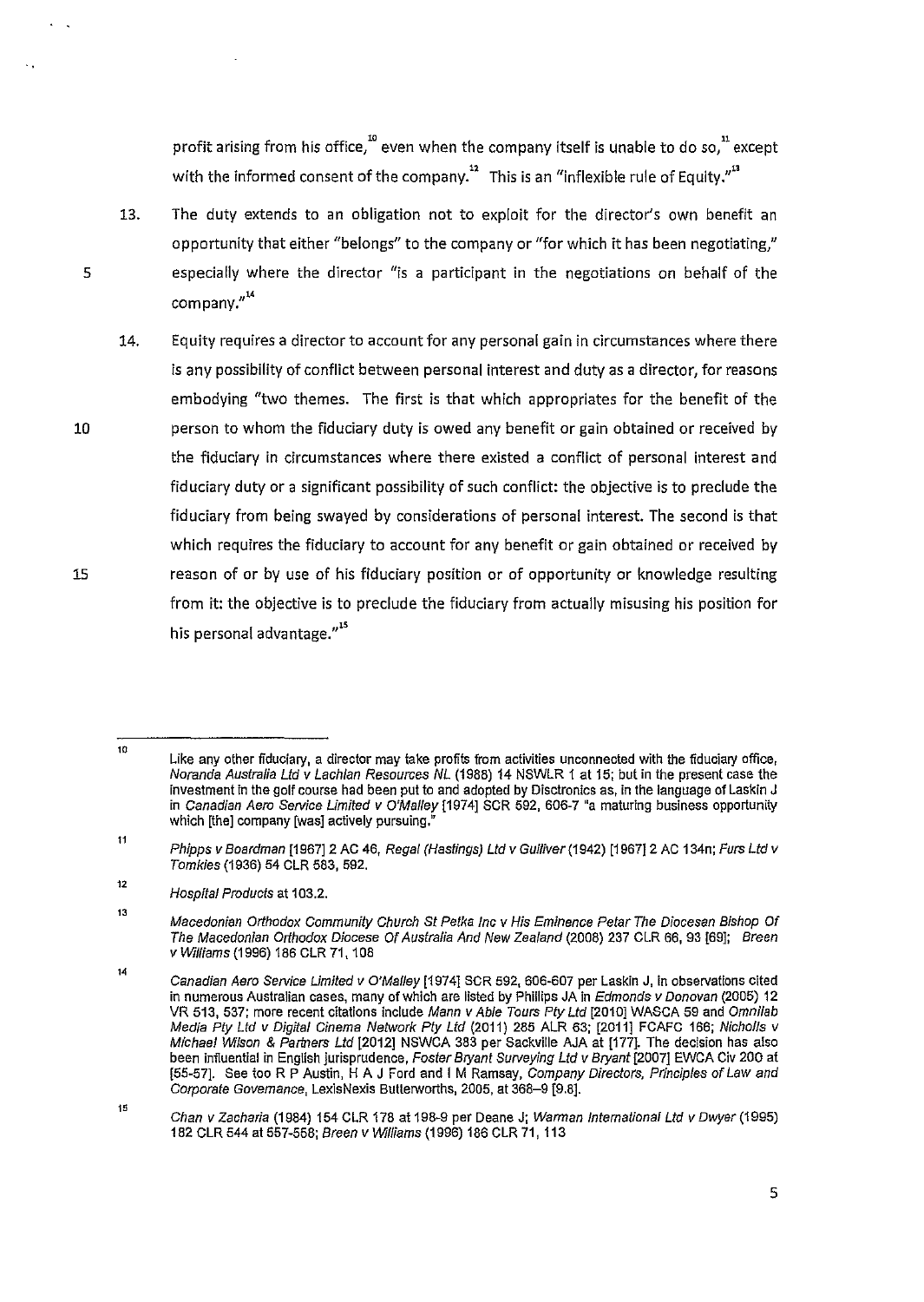profit arising from his office,<sup>10</sup> even when the company itself is unable to do so,<sup>11</sup> except with the informed consent of the company.<sup>12</sup> This is an "inflexible rule of Equity."<sup>13</sup>

- 13. The duty extends to an obligation not to exploit for the director's own benefit an opportunity that either "belongs" to the company or "for which it has been negotiating," especially where the director "is a participant in the negotiations on behalf of the company."<sup>14</sup>
- 14. Equity requires a director to account for any personal gain in circumstances where there is any possibility of conflict between personal interest and duty as a director, for reasons embodying "two themes. The first is that which appropriates for the benefit of the person to whom the fiduciary duty is owed any benefit or gain obtained or received by the fiduciary in circumstances where there existed a conflict of personal interest and fiduciary duty or a significant possibility of such conflict: the objective is to preclude the fiduciary from being swayed by considerations of personal interest. The second is that which requires the fiduciary to account for any benefit or gain obtained or received by reason of or by use of his fiduciary position or of opportunity or knowledge resulting from it: the objective is to preclude the fiduciary from actually misusing his position for his personal advantage."<sup>15</sup>

13

15

10

<sup>10</sup>  Like any other fiduciary, a director may take profits from activities unconnected with the fiduciary office, Noranda Australia Ltd v Lachlan Resources NL (1988) 14 NSWLR 1 at 15; but in the present case the investment in the golf course had been put to and adopted by Disctronics as, in the language of Laskin J in Canadian Aero Service Limited v O'Malley [1974] SCR 592, 606-7 "a maturing business opportunity which [the] company [was] actively pursuing.

<sup>11</sup>  Phipps v Boardman [1967] 2 AC 46, Regal (Hastings) Ltd v Gulliver (1942) [1967] 2 AC 134n; Furs Ltd v Tomkies (1936) 54 CLR 583, 592.

<sup>12</sup>  Hospital Products at 103.2.

Macedonian Orthodox Community Church St Petka Inc v His Eminence Petar The Diocesan Bishop Of The Macedon/an Orthodox Diocese Of Australia And New Zealand (2008) 237 CLR 66, 93 [69]; Breen v Williams (1996) 186 CLR 71, 108

 $14\,$ Canadian Aero Service Limited v O'Malley [1974] SCR 592, 606·607 per Laskin J, in observations cited in numerous Australian cases, many of which are listed by Phillips JA in Edmonds v Donovan (2005) 12 VR 513, 537; more recent citations include Mann v Able Tours Pty Ltd [2010] WASCA 59 and Omnilab Media Ply Ltd v Digffal Cinema Network Pty Ltd (2011) 285 ALR 63; [2011] FCAFC 166; Nicholls v Michael Wilson & Partners Ltd [2012] NSWCA 383 per Sackville AJA at [177]. The decision has also been influential in English jurisprudence, Foster Bryant Surveying Ltd v Bryant [2007] EWCA Civ 200 at [55-57]. See too R P Austin, H A J Ford and I M Ramsay, Company Directors. Principles of Law and Corporate Governance, LexisNexis Butterworths, 2005, at 368-9 [9.8].

 $\uparrow$ Chan v Zacharia (1984) 154 CLR 178 at 198-9 per Deane J; Warman International Ltd v Dwyer (1995) 182 CLR 544 at 557-558; Breen v Williams (1996) 186 CLR 71, 113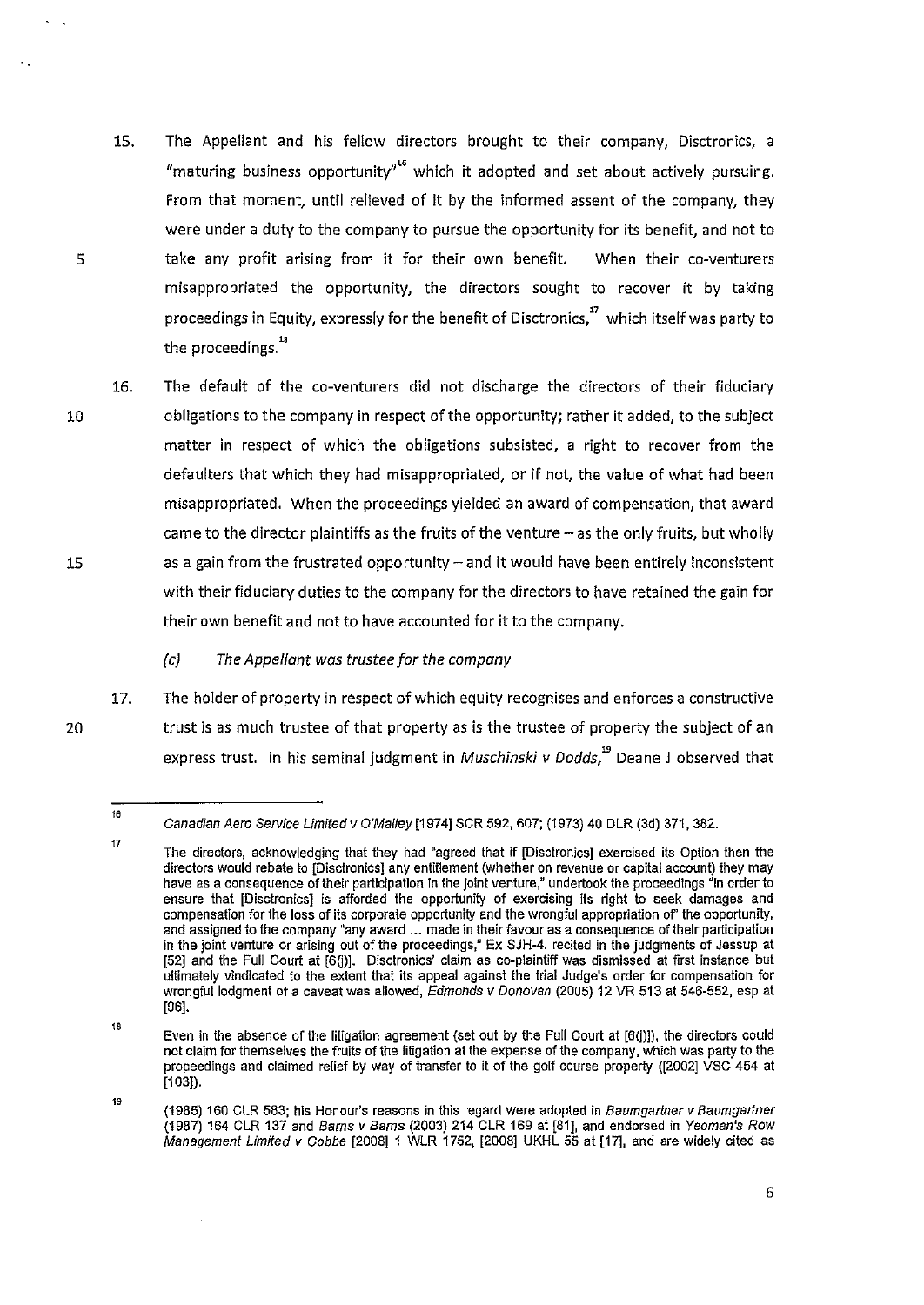- 15. The Appellant and his fellow directors brought to their company, Disctronics, a "maturing business opportunity"<sup>16</sup> which it adopted and set about actively pursuing. From that moment, until relieved of it by the informed assent of the company, they were under a duty to the company to pursue the opportunity for its benefit, and not to take any profit arising from it for their own benefit. When their co-venturers misappropriated the opportunity, the directors sought to recover it by taking proceedings in Equity, expressly for the benefit of Disctronics," which itself was party to the proceedings.<sup>18</sup>
- 10 15 16. The default of the co-venturers did not discharge the directors of their fiduciary obligations to the company in respect of the opportunity; rather it added, to the subject matter in respect of which the obligations subsisted, a right to recover from the defaulters that which they had misappropriated, or if not, the value of what had been misappropriated. When the proceedings yielded an award of compensation, that award came to the director plaintiffs as the fruits of the venture - as the only fruits, but wholly as a gain from the frustrated opportunity  $-$  and it would have been entirely inconsistent with their fiduciary duties to the company for the directors to have retained the gain for their own benefit and not to have accounted for it to the company.

*(c) The Appellant was trustee for the company* 

17. The holder of property in respect of which equity recognises and enforces a constructive trust is as much trustee of that property as is the trustee of property the subject of an express trust. In his seminal judgment in *Muschinski v Dodds,"* Deane J observed that

5

20

<sup>16</sup>  Canadian Aero Service Limited v O'Malley [1974] SCR 592, 607; (1973) 40 DLR (3d) 371, 382.

The directors, acknowledging that they had "agreed that if [Disctronics] exercised its Option then the directors would rebate to [Disctronics] any entitlement (whether on revenue or capital account) they may have as a consequence of their participation in the joint venture," undertook the proceedings "in order to ensure that [Disctronics] is afforded the opportunity of exercising Its right to seek damages and compensation for the loss of its corporate opportunity and the wrongful appropriation of' the opportunity, and assigned to the company "any award ... made in their favour as a consequence of their participation in the joint venture or arising out of the proceedings," Ex SJH-4, recited in the judgments of Jessup at [52] and the Full Court at [6(i)]. Disctronics' claim as co-plaintiff was dismissed at first instance but ultimately vindicated to the extent that its appeal against the trial Judge's order for compensation for wrongful lodgment of a caveat was allowed, Edmonds v Donovan (2005) 12 VR 513 at 546-552, esp at [96].

<sup>18</sup>  Even in the absence of the litigation agreement (set out by the Full Court at [6Q)]), the directors could not claim for themselves the fruits of the liligation at the expense of the company, which was party to the proceedings and claimed relief by way of transfer to it of the golf course property ([2002] VSC 454 at  $[103]$ .

<sup>19</sup>  (1985) 160 CLR 583; his Honour's reasons in this regard were adopted in Baumgartner v Baumgartner (1987) 164 CLR 137 and Bams v Bams (2003) 214 CLR 169 at [81], and endorsed in Yeoman's Row Management Limited v Cobbe [2008] 1 WLR 1752, [2008] UKHL 55 at [17], and are widely cited as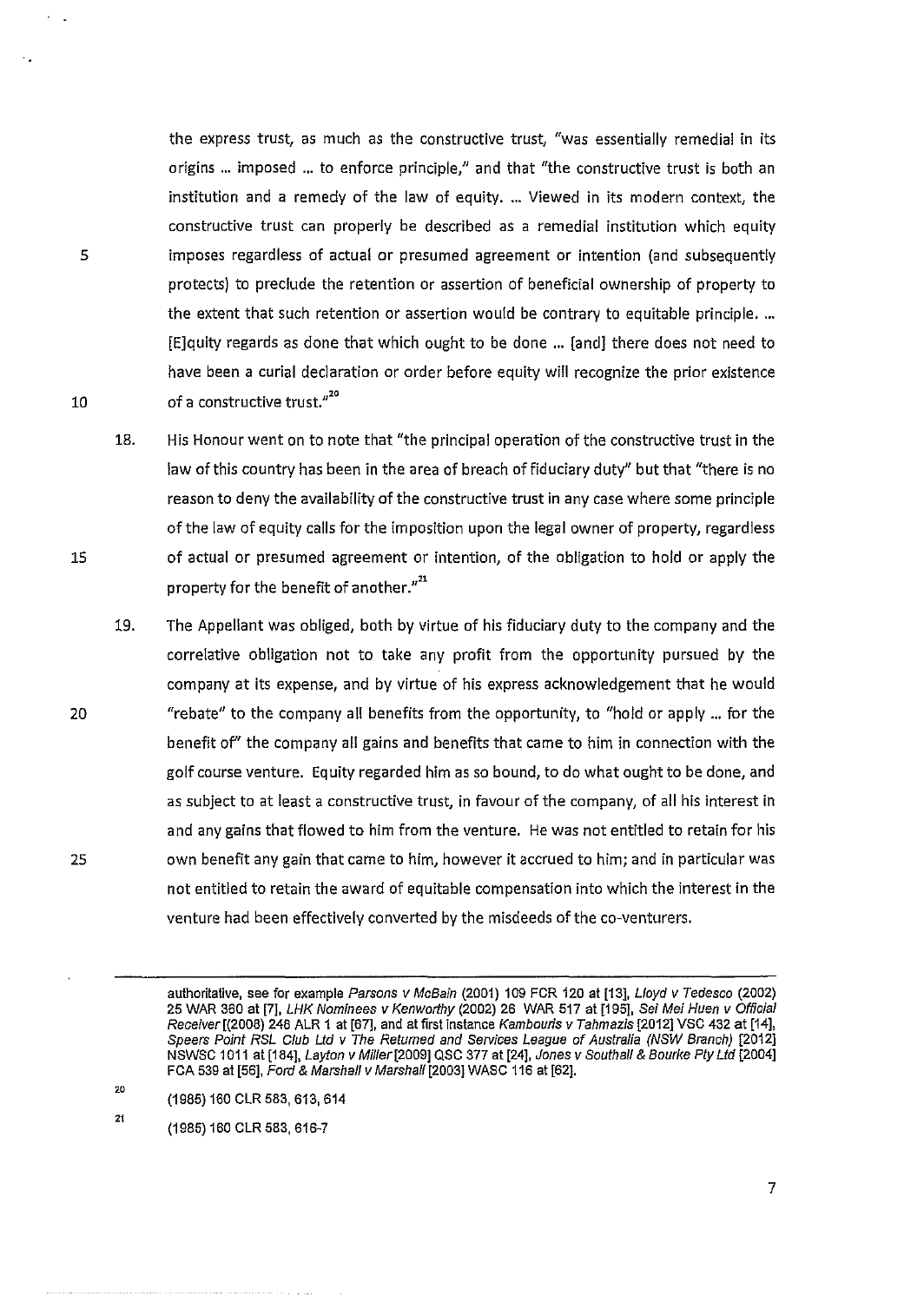the express trust, as much as the constructive trust, "was essentially remedial in its origins ... imposed ... to enforce principle," and that "the constructive trust is both an institution and a remedy of the law of equity .... Viewed in its modern context, the constructive trust can properly be described as a remedial institution which equity imposes regardless of actual or presumed agreement or intention (and subsequently protects) to preclude the retention or assertion of beneficial ownership of property to the extent that such retention or assertion would be contrary to equitable principle .... [E]quity regards as done that which ought to be done ... [and] there does not need to have been a curial declaration or order before equity will recognize the prior existence of a constructive trust."20

- 18. His Honour went on to note that "the principal operation of the constructive trust in the law of this country has been in the area of breach of fiduciary duty" but that "there is no reason to deny the availability of the constructive trust in any case where some principle of the law of equity calls for the imposition upon the legal owner of property, regardless of actual or presumed agreement or intention, of the obligation to hold or apply the property for the benefit of another. $^{\prime\prime^{21}}$
- 19. The Appellant was obliged, both by virtue of his fiduciary duty to the company and the correlative obligation not to take any profit from the opportunity pursued by the company at its expense, and by virtue of his express acknowledgement that he would "rebate" to the company all benefits from the opportunity, to "hold or apply ... for the benefit of' the company all gains and benefits that came to him in connection with the golf course venture. Equity regarded him as so bound, to do what ought to be done, and as subject to at least a constructive trust, in favour of the company, of all his interest in and any gains that flowed to him from the venture. He was not entitled to retain for his own benefit any gain that came to him, however it accrued to him; and in particular was not entitled to retain the award of equitable compensation into which the interest in the venture had been effectively converted by the misdeeds of the co-venturers.

20 (1985) 160 CLR 583, 613,614

21 (1985) 160 CLR 583,616-7

10

5

15

20

authoritative, see for example Parsons v McBain (2001) 109 FCR 120 at [13], Lloyd v Tedesco (2002) 25 WAR 360 at [7], LHK Nominees v Kenworthy (2002) 26 WAR 517 at [195], Sei Mei Huen v Official Receiver [(2008) 248 ALR 1 at [67], and at first instance Kambouris v Tahmazis [2012] VSC 432 at [14], Speers Point RSL Club Ltd v The Returned and Services League of Australia (NSW Branch) [2012] NSWSC 1 011 at [184], Layton v Miller[2009] QSC 377 at [24], Jones v Southall & Bourke Pty Ltd [2004] FCA 539 at [56], Ford & Marshall v Marshall [2003] WASC 116 at [62].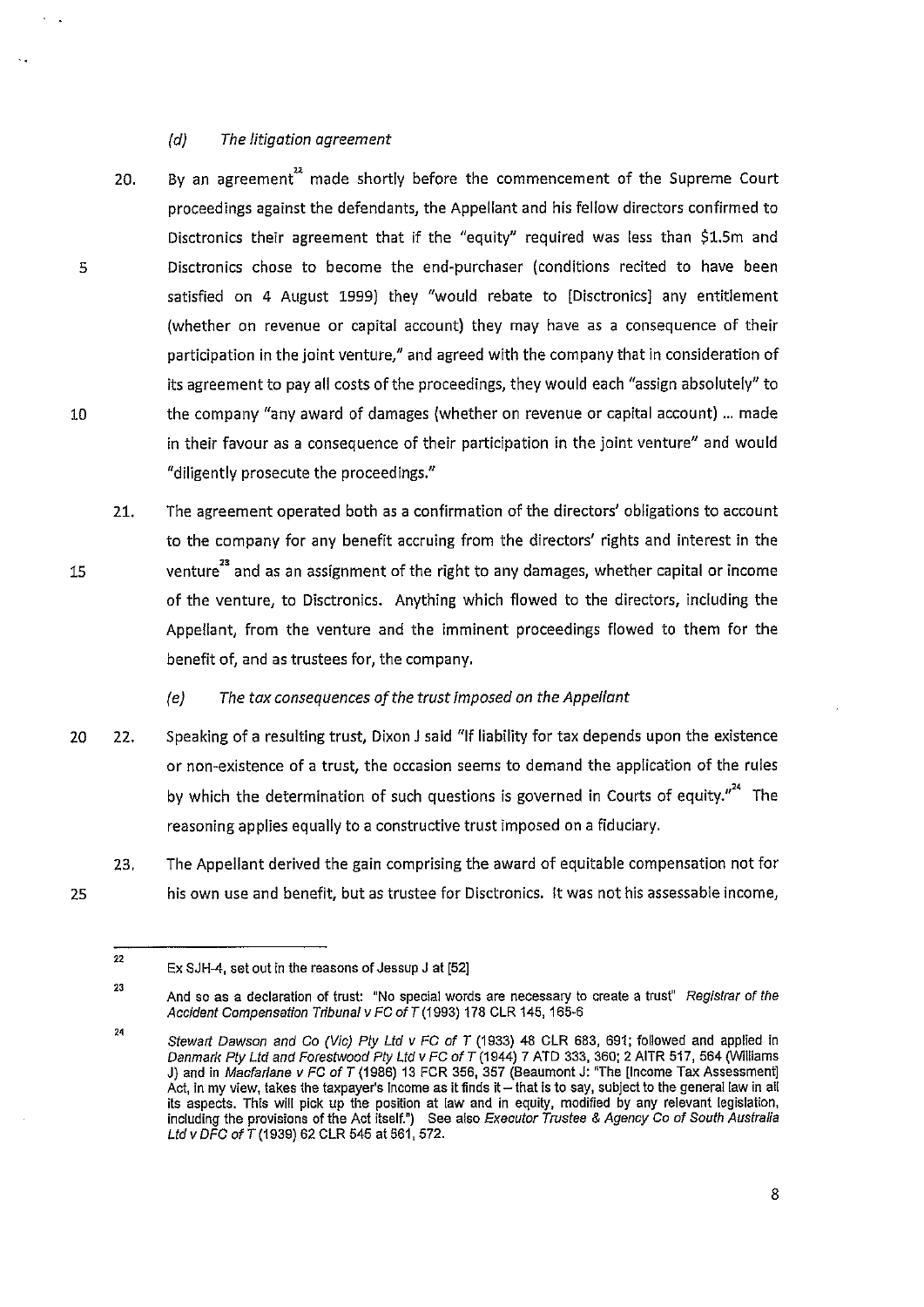#### *(d) The litigation agreement*

- 20. By an agreement<sup>22</sup> made shortly before the commencement of the Supreme Court proceedings against the defendants, the Appellant and his fellow directors confirmed to Disctronics their agreement that if the "equity" required was less than \$1.Sm and Disctronics chose to become the end-purchaser (conditions recited to have been satisfied on 4 August 1999) they "would rebate to [Disctronics] any entitlement (whether on revenue or capital account) they may have as a consequence of their participation in the joint venture," and agreed with the company that in consideration of its agreement to pay all costs of the proceedings, they would each "assign absolutely" to the company "any award of damages (whether on revenue or capital account) ... made in their favour as a consequence of their participation in the joint venture" and would "diligently prosecute the proceedings."
- 21. The agreement operated both as a confirmation of the directors' obligations to account to the company for any benefit accruing from the directors' rights and interest in the venture<sup>23</sup> and as an assignment of the right to any damages, whether capital or income of the venture, to Disctronics. Anything which flowed to the directors, including the Appellant, from the venture and the imminent proceedings flowed to them for the benefit of, and as trustees for, the company.

# *(e) The tax consequences of the trust imposed on the Appellant*

- 20 22. Speaking of a resulting trust, Dixon J said "If liability for tax depends upon the existence or non-existence of a trust, the occasion seems to demand the application of the rules by which the determination of such questions is governed in Courts of equity."<sup>24</sup> The reasoning applies equally to a constructive trust imposed on a fiduciary.
	- 23. The Appellant derived the gain comprising the award of equitable compensation not for his own use and benefit, but as trustee for Disctronics. It was not his assessable income,

25

5

10

15

<sup>22</sup>  Ex SJH-4, set out in the reasons of Jessup J at [52]

<sup>23</sup>  And so as a declaration of trust: "No special words are necessary to create a trust" Registrar of the Accident Compensation Tribunal v FC of T (1993) 178 CLR 145, 165-6

<sup>24</sup>  Stewart Dawson and Co (Vic) Ply Ltd v FC of T (1933) 48 CLR 683, 691; followed and applied in Danmark Ply Ltd and Forestwood Ply Ltd v FC ofT (1944) 7 ATD 333, 360; 2 AITR 517, 564 (Williams J) and in Macfarlane v FC of T (1986) 13 FCR 356, 357 (Beaumont J: "The [Income Tax Assessment] Act, in my view, takes the taxpayer's income as it finds it - that is to say, subject to the general law in all its aspects. This will pick up the position at law and in equity, modified by any relevant legislation. including the provisions of the Act itself.") See also Executor Trustee & Agency Co of South Australia Ltd v DFC of T (1939) 62 CLR 545 at 561, 572.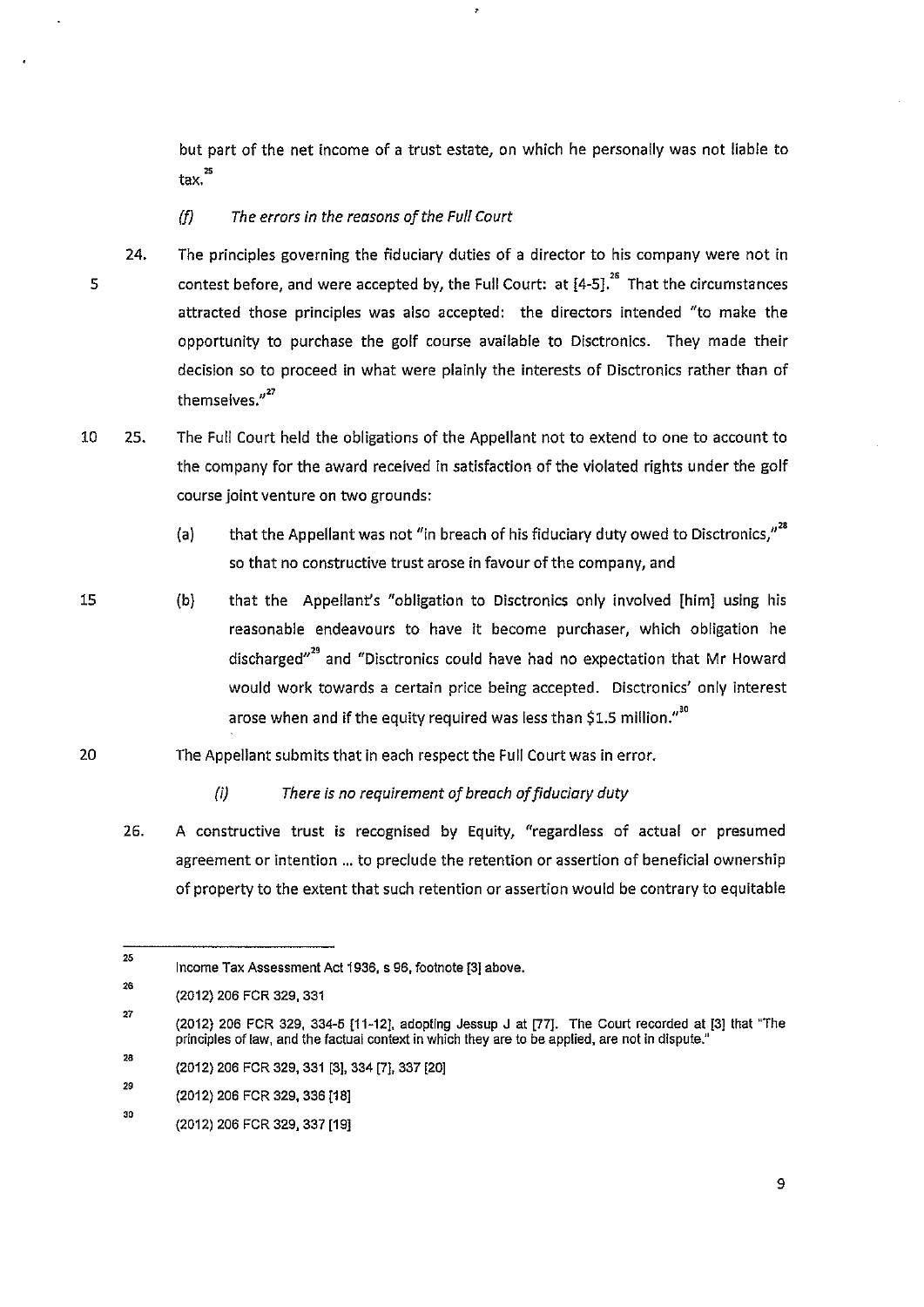but part of the net income of a trust estate, on which he personally was not liable to tax.<sup>25</sup>

- (f) *The errors in the reasons of the Full Court*
- 5 24. The principles governing the fiduciary duties of a director to his company were not in contest before, and were accepted by, the Full Court: at  $[4-5]$ .<sup>26</sup> That the circumstances attracted those principles was also accepted: the directors intended "to make the opportunity to purchase the golf course available to Disctronics. They made their decision so to proceed in what were plainly the interests of Disctronics rather than of themselves."<sup>27</sup>
- 10 25. The Full Court held the obligations of the Appellant not to extend to one to account to the company for the award received in satisfaction of the violated rights under the golf course joint venture on two grounds:
	- (a) that the Appellant was not "in breach of his fiduciary duty owed to Disctronics," $^{28}$ so that no constructive trust arose in favour of the company, and
	- (b) that the Appellant's "obligation to Disctronics only involved [him] using his reasonable endeavours to have it become purchaser, which obligation he discharged"" and "Disctronics could have had no expectation that Mr Howard would work towards a certain price being accepted. Disctronics' only interest arose when and if the equity required was less than \$1.5 million."<sup>30</sup>
- 20 The Appellant submits that in each respect the Full Court was in error.

*(i) There is no requirement of breach of fiduciary duty* 

26. A constructive trust is recognised by Equity, "regardless of actual or presumed agreement or intention ... to preclude the retention or assertion of beneficial ownership of property to the extent that such retention or assertion would be contrary to equitable

15

27 (2012) 206 FCR 329, 334-5 [11-12], adopting Jessup J at [77]. The Court recorded at [3] that "The principles of law, and the factual context in which they are to be applied, are not in dispute."

<sup>25</sup>  Income Tax Assessment Act 1936, s 96, footnote [3] above.

<sup>26</sup>  (2012) 206 FCR 329, 331

<sup>28</sup> (2012) 206 FCR 329, 331 [3], 334 [7], 337 [20]

<sup>29</sup>  (2012) 206 FCR 329, 336 [18]

<sup>30</sup>  (2012) 206 FCR 329, 337 [19]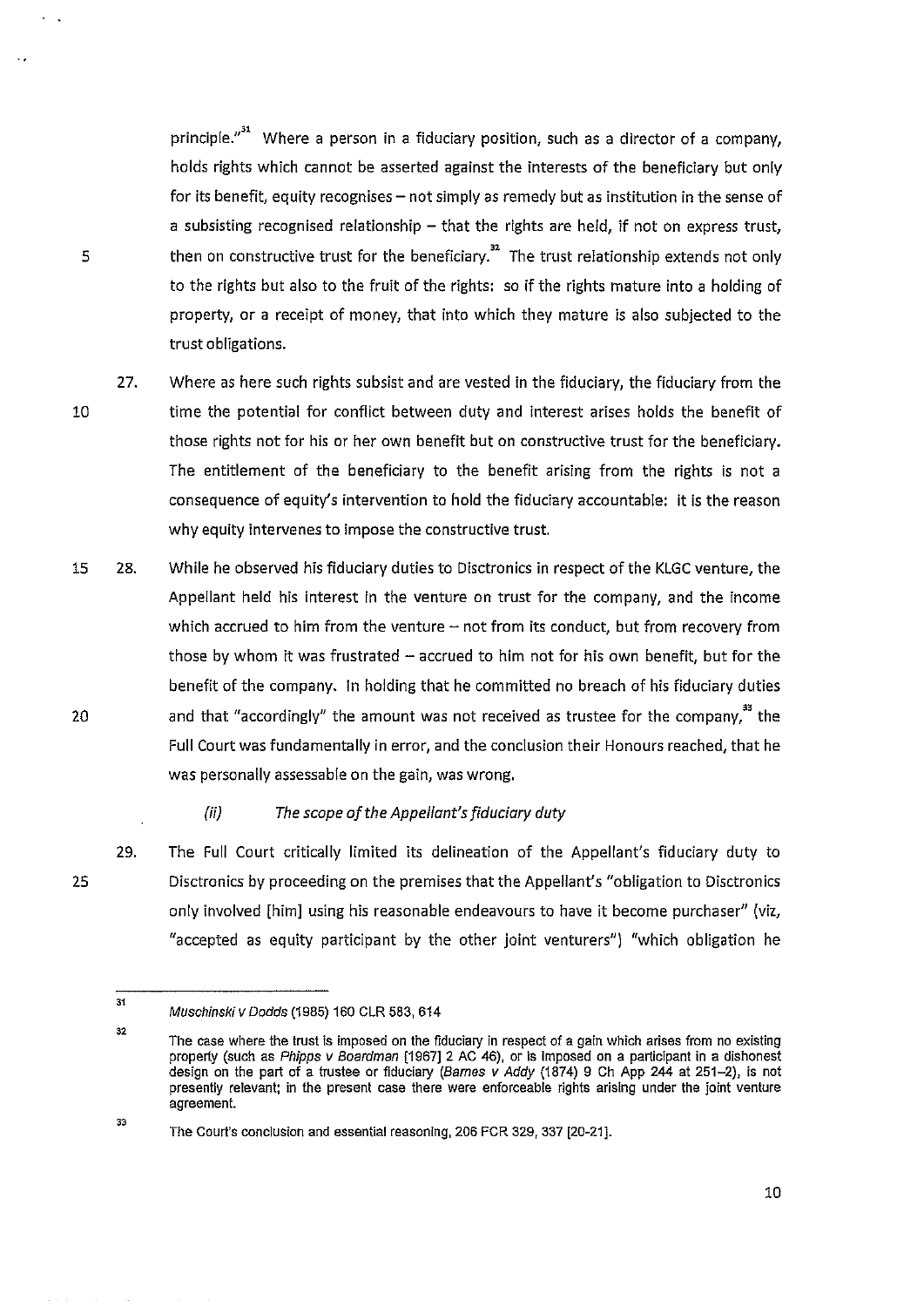principle."<sup>31</sup> Where a person in a fiduciary position, such as a director of a company, holds rights which cannot be asserted against the interests of the beneficiary but only for its benefit, equity recognises  $-$  not simply as remedy but as institution in the sense of a subsisting recognised relationship  $-$  that the rights are held, if not on express trust, then on constructive trust for the beneficiary.<sup>32</sup> The trust relationship extends not only to the rights but also to the fruit of the rights: so if the rights mature into a holding of property, or a receipt of money, that into which they mature is also subjected to the trust obligations.

- 27. Where as here such rights subsist and are vested in the fiduciary, the fiduciary from the time the potential for conflict between duty and interest arises holds the benefit of those rights not for his or her own benefit but on constructive trust for the beneficiary. The entitlement of the beneficiary to the benefit arising from the rights is not a consequence of equity's intervention to hold the fiduciary accountable: it is the reason why equity intervenes to impose the constructive trust.
- 15 28. 20 While he observed his fiduciary duties to Disctronics in respect of the KLGC venture, the Appellant held his interest in the venture on trust for the company, and the income which accrued to him from the venture  $-$  not from its conduct, but from recovery from those by whom it was frustrated  $-$  accrued to him not for his own benefit, but for the benefit of the company. In holding that he committed no breach of his fiduciary duties and that "accordingly" the amount was not received as trustee for the company," the Full Court was fundamentally in error, and the conclusion their Honours reached, that he was personally assessable on the gain, was wrong.
	- (ii) *The scope of the Appellant's fiduciary duty*
	- 29. The Full Court critically limited its delineation of the Appellant's fiduciary duty to Disctronics by proceeding on the premises that the Appellant's "obligation to Disctronics only involved [him] using his reasonable endeavours to have it become purchaser" (viz, "accepted as equity participant by the other joint venturers") "which obligation he

5

10

25

Muschinski v Dodds (1985) 160 CLR 583, 614

<sup>32</sup>  The case where the trust is imposed on the fiduciary in respect of a gain which arises from no existing property (such as Phipps v Boardman [1967] 2 AC 46), or is imposed on a participant in a dishonest design on the part of a trustee or fiduciary (Barnes *v* Addy (1874) 9 Ch App 244 at 251-2), is not presently relevant; in the present case there were enforceable rights arising under the joint venture agreement.

<sup>33</sup>  The Court's conclusion and essential reasoning, 206 FCR 329, 337 [20-21].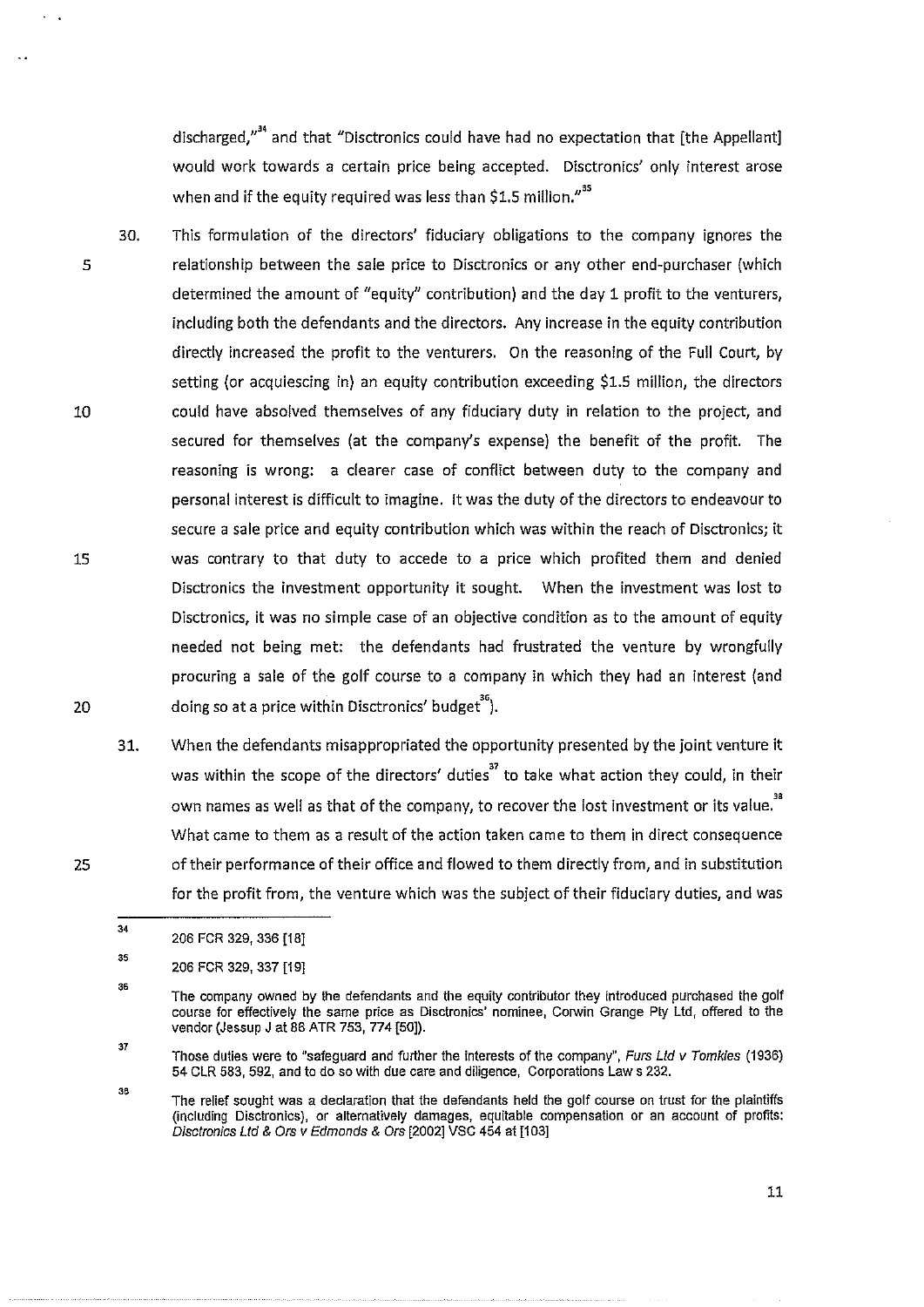discharged,"<sup>34</sup> and that "Disctronics could have had no expectation that [the Appellant] would work towards a certain price being accepted. Disctronics' only interest arose when and if the equity required was less than \$1.5 million."<sup>35</sup>

- 30. 5 10 15 20 This formulation of the directors' fiduciary obligations to the company ignores the relationship between the sale price to Disctronics or any other end-purchaser (which determined the amount of "equity" contribution) and the day 1 profit to the venturers, including both the defendants and the directors. Any increase in the equity contribution directly increased the profit to the venturers. On the reasoning of the Full Court, by setting (or acquiescing in) an equity contribution exceeding \$1.5 million, the directors could have absolved themselves of any fiduciary duty in relation to the project, and secured for themselves (at the company's expense) the benefit of the profit. The reasoning is wrong: a clearer case of conflict between duty to the company and personal interest is difficult to imagine. It was the duty of the directors to endeavour to secure a sale price and equity contribution which was within the reach of Disctronics; it was contrary to that duty to accede to a price which profited them and denied Disctronics the investment opportunity it sought. When the investment was lost to Disctronics, it was no simple case of an objective condition as to the amount of equity needed not being met: the defendants had frustrated the venture by wrongfully procuring a sale of the golf course to a company in which they had an interest (and doing so at a price within Disctronics' budget'').
	- 31. When the defendants misappropriated the opportunity presented by the joint venture it was within the scope of the directors' duties<sup>37</sup> to take what action they could, in their own names as well as that of the company, to recover the lost investment or its value.<sup>38</sup> What came to them as a result of the action taken came to them in direct consequence of their performance of their office and flowed to them directly from, and in substitution for the profit from, the venture which was the subject of their fiduciary duties, and was

38 The relief sought was a declaration that the defendants held the golf course on trust for the plaintiffs (including Disclronics), or alternatively damages, equitable compensation or an account of profits: Disctronics Ltd & Ors v Edmonds & Ors [2002] VSC 454 at [103]

<sup>34</sup>  206 FCR 329, 336 [18]

<sup>35</sup>  206 FCR 329, 337 [1 9]

<sup>35</sup>  The company owned by the defendants and the equity contributor they introduced purchased the golf course for effectively the same price as Disctronics' nominee, Corwin Grange Ply Ltd, offered to the vendor (Jessup J at 86 ATR 753, 774 [50]).

<sup>37</sup>  Those duties were to "safeguard and further the interests of the company", Furs Lid v Tomkies (1936) 54 CLR 583, 592, and to do so with due care and diligence, Corporations Laws 232.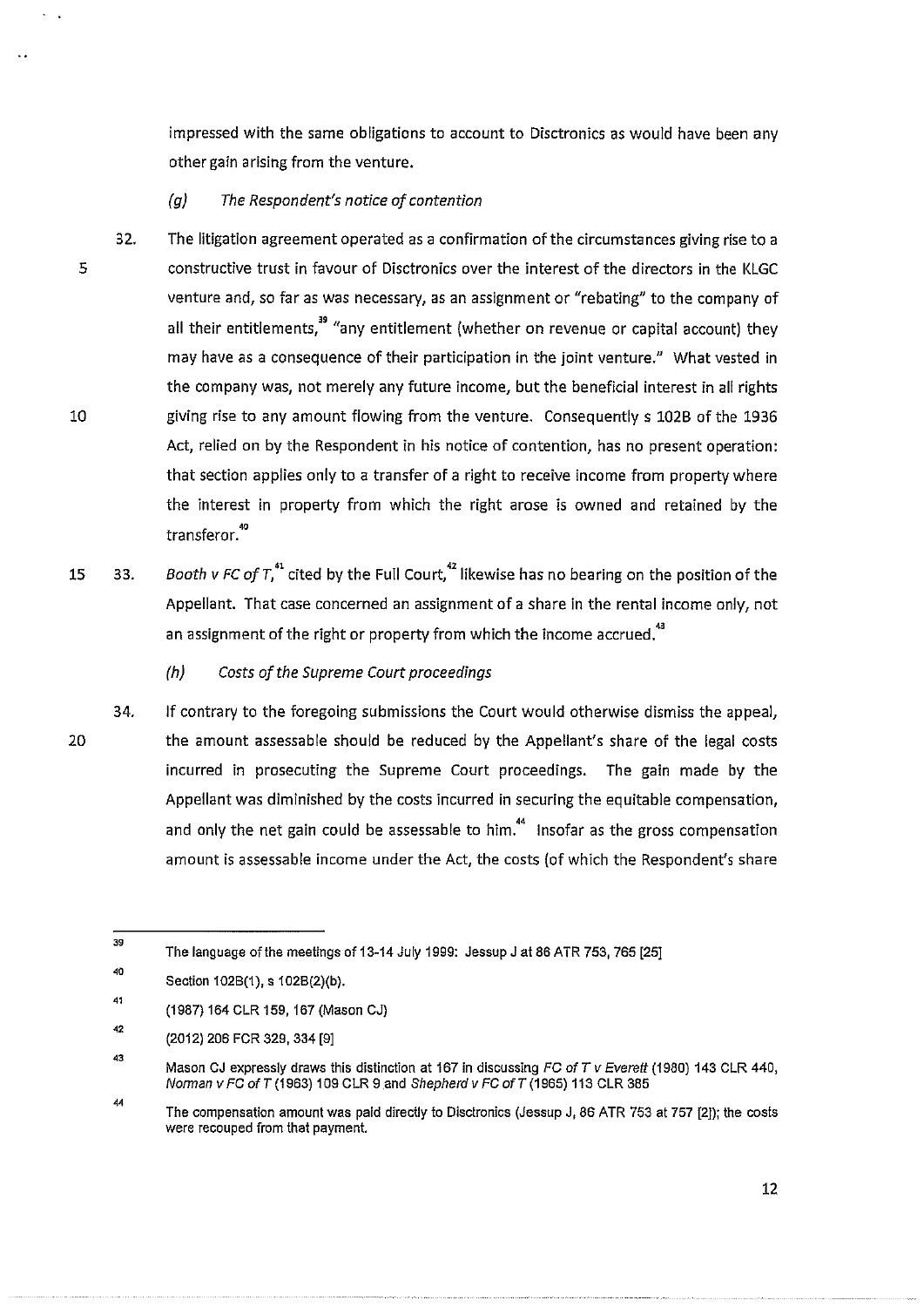impressed with the same obligations to account to Disctronics as would have been any other gain arising from the venture.

#### *(g) The Respondent's notice of contention*

- 32. 5 10 The litigation agreement operated as a confirmation of the circumstances giving rise to a constructive trust in favour of Disctronics over the interest of the directors in the KLGC venture and, so far as was necessary, as an assignment or "rebating" to the company of all their entitlements.<sup>39</sup> "any entitlement (whether on revenue or capital account) they may have as a consequence of their participation in the joint venture." What vested in the company was, not merely any future income, but the beneficial interest in all rights giving rise to any amount flowing from the venture. Consequently s 102B of the 1936 Act, relied on by the Respondent in his notice of contention, has no present operation: that section applies only to a transfer of a right to receive income from property where the interest in property from which the right arose is owned and retained by the transferor.<sup>40</sup>
- 15 33. *Booth v FC of*  $T_1^4$  cited by the Full Court,<sup>42</sup> likewise has no bearing on the position of the Appellant. That case concerned an assignment of a share in the rental income only, not an assignment of the right or property from which the income accrued.<sup>43</sup>
	- *(h) Costs of the Supreme Court proceedings*

20

34. If contrary to the foregoing submissions the Court would otherwise dismiss the appeal, the amount assessable should be reduced by the Appellant's share of the legal costs incurred in prosecuting the Supreme Court proceedings. The gain made by the Appellant was diminished by the costs incurred in securing the equitable compensation, and only the net gain could be assessable to him.<sup>44</sup> Insofar as the gross compensation amount is assessable income under the Act, the costs (of which the Respondent's share

<sup>39</sup>  The language of the meetings of 13-14 July 1999: Jessup J at 86 ATR 753, 765 [25]

<sup>40</sup>  Section 102B(1), s 102B(2)(b).

 $-41$ (1987) 164 CLR 159, 167 (Mason CJ)

<sup>42</sup> (2012) 206 FCR 329,334 [9]

<sup>43</sup> Mason CJ expressly draws this distinction at 167 in discussing *FC* ofT *v Everett* (1980) 143 CLR 440, Norman v *FC* ofT (1963) 109 CLR 9 .and *Shepherd* v *FG* ofT (1965) 113 CLR 385

<sup>44</sup> The compensation amount was paid directly to Dlsctronics (Jessup J, 86 ATR 753 at 757 [2]); the costs were recouped from that payment.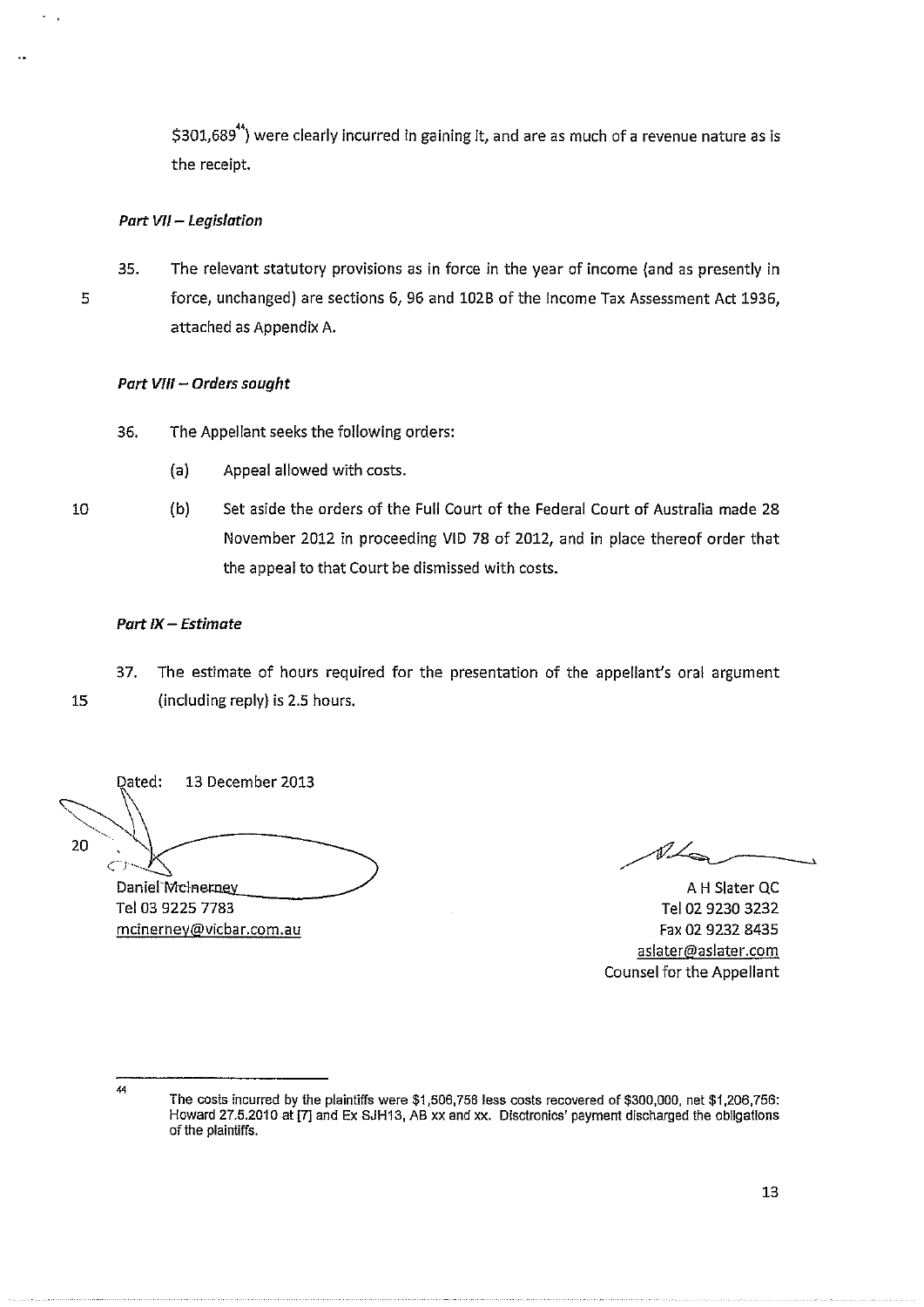\$301,689<sup>44</sup>) were clearly incurred in gaining it, and are as much of a revenue nature as is the receipt.

## Part VII- Legislation

5

35. The relevant statutory provisions as in force in the year of income (and as presently in force, unchanged) are sections 6, 96 and 1028 of the Income Tax Assessment Act 1936, attached as Appendix A.

# Part VIII - Orders sought

36. The Appellant seeks the following orders:

- (a) Appeal allowed with costs.
- 10 (b) Set aside the orders of the Full Court of the Federal Court of Australia made 28 November 2012 in proceeding VID 78 of 2012, and in place thereof order that the appeal to that Court be dismissed with costs.

## Part  $IX -$  Estimate

37. The estimate of hours required for the presentation of the appellant's oral argument

15 (including reply) is 2.5 hours.

Dated: 13 December 2013 20 ز سے Daniel Mcherney<br>
Tel 03 9225 7783. Tel 03 9230 3232 mcinernev@vicbar.com.au

 $\not\!\!L$ 

Tel 02 9230 3232 Fax 02 9232 8435 aslater@aslater.com Counsel for the Appellant

The costs incurred by the plaintiffs were \$1,506,756 less costs recovered of \$300,000, net \$1,206,756: Howard 27.5.2010 at [7] and Ex SJH13, AB xx and xx. Disctronics' payment discharged the obligations of the plaintiffs.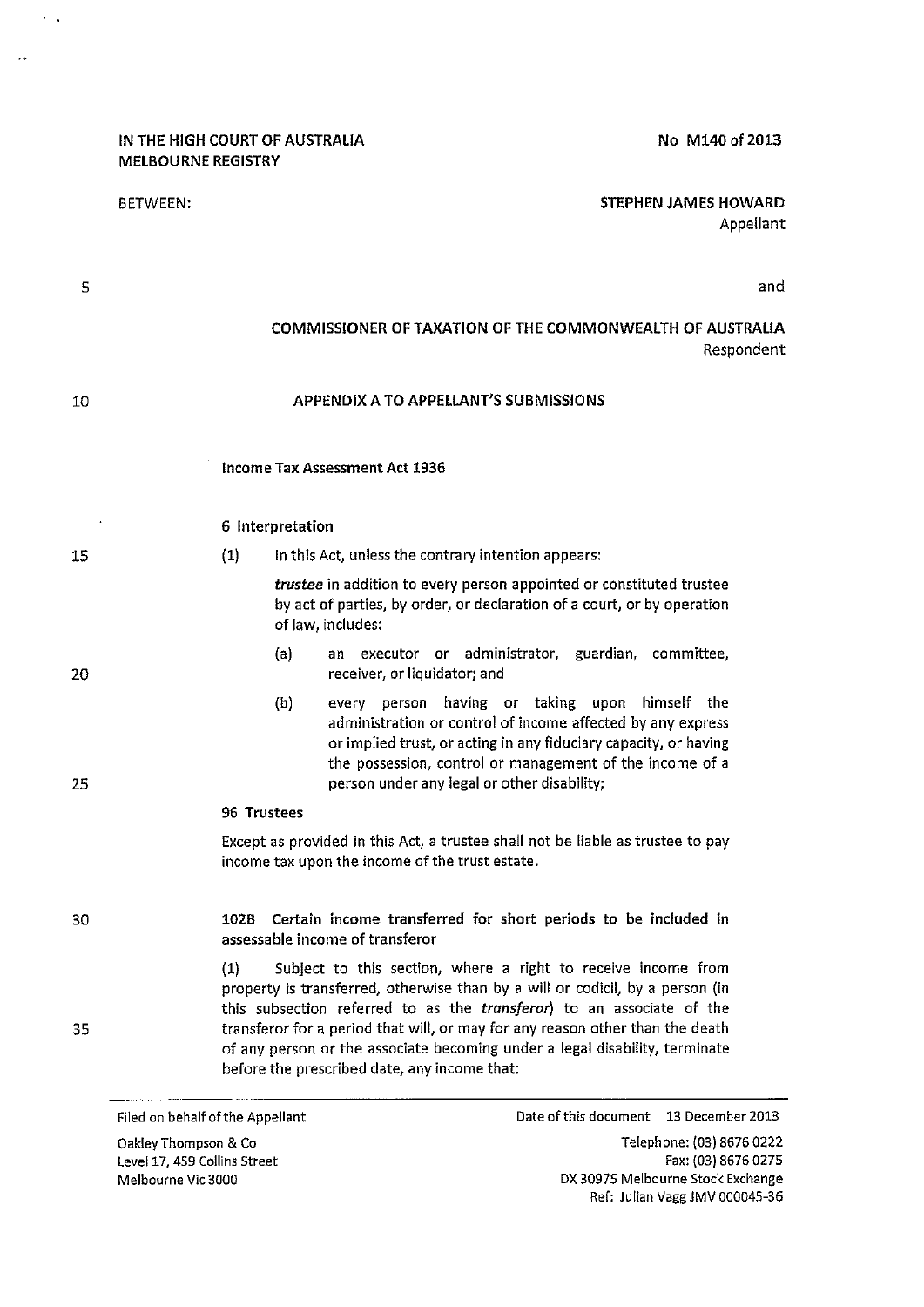#### IN THE HIGH COURT OF AUSTRALIA MELBOURNE REGISTRY

..

Appellant

# BETWEEN: STEPHEN JAMES HOWARD

5 10 15 20 25 30 35 and COMMISSIONER OF TAXATION OF THE COMMONWEALTH OF AUSTRALIA Respondent APPENDIX A TO APPELLANT'S SUBMISSIONS Income Tax Assessment Act 1936 6 Interpretation (1) In this Act, unless the contrary intention appears: *trustee* in addition to every person appointed or constituted trustee by act of parties, by order, or declaration of a court, or by operation of law, includes: (a) (b) an executor or administrator, guardian, committee, receiver, or liquidator; and every person having or taking upon himself the administration or control of income affected by any express or implied trust, or acting in any fiduciary capacity, or having the possession, control or management of the income of a person under any legal or other disability; 96 Trustees Except as provided in this Act, a trustee shall not be liable as trustee to pay income tax upon the income of the trust estate. 102B Certain income transferred for short periods to be included in assessable income of transferor (1) Subject to this section, where a right to receive income from property is transferred, otherwise than by a will or codicil, by a person (in this subsection referred to as the *transferor)* to an associate of the transferor for a period that will, or may for any reason other than the death of any person or the associate becoming under a legal disability, terminate before the prescribed date, any income that:

Filed on behalf of the Appellant

Oakley Thompson & Co Level 17, 459 Collins Street Melbourne Vic 3000

Date of this document 13 December 2013

Telephone: (03) 8676 0222 Fax: (03) 8676 0275 DX 30975 Melbourne Stock Exchange Ref: Julian Vagg JMV 000045-36